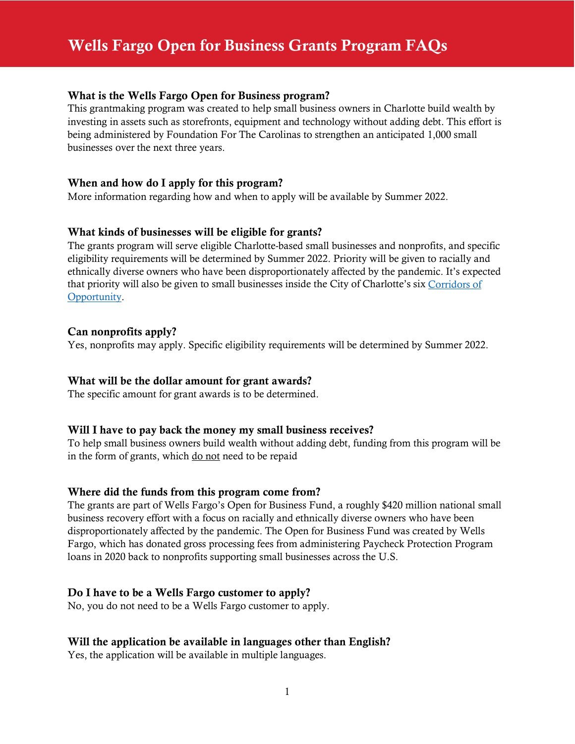## What is the Wells Fargo Open for Business program?

This grantmaking program was created to help small business owners in Charlotte build wealth by investing in assets such as storefronts, equipment and technology without adding debt. This effort is being administered by Foundation For The Carolinas to strengthen an anticipated 1,000 small businesses over the next three years.

## When and how do I apply for this program?

More information regarding how and when to apply will be available by Summer 2022.

# What kinds of businesses will be eligible for grants?

The grants program will serve eligible Charlotte-based small businesses and nonprofits, and specific eligibility requirements will be determined by Summer 2022. Priority will be given to racially and ethnically diverse owners who have been disproportionately affected by the pandemic. It's expected that priority will also be given to small businesses inside the City of Charlotte's six [Corridors of](https://charlottenc.gov/corridorsofopportunity/Pages/default.aspx)  [Opportunity.](https://charlottenc.gov/corridorsofopportunity/Pages/default.aspx)

## Can nonprofits apply?

Yes, nonprofits may apply. Specific eligibility requirements will be determined by Summer 2022.

#### What will be the dollar amount for grant awards?

The specific amount for grant awards is to be determined.

#### Will I have to pay back the money my small business receives?

To help small business owners build wealth without adding debt, funding from this program will be in the form of grants, which do not need to be repaid

## Where did the funds from this program come from?

The grants are part of Wells Fargo's Open for Business Fund, a roughly \$420 million national small business recovery effort with a focus on racially and ethnically diverse owners who have been disproportionately affected by the pandemic. The Open for Business Fund was created by Wells Fargo, which has donated gross processing fees from administering Paycheck Protection Program loans in 2020 back to nonprofits supporting small businesses across the U.S.

#### Do I have to be a Wells Fargo customer to apply?

No, you do not need to be a Wells Fargo customer to apply.

#### Will the application be available in languages other than English?

Yes, the application will be available in multiple languages.